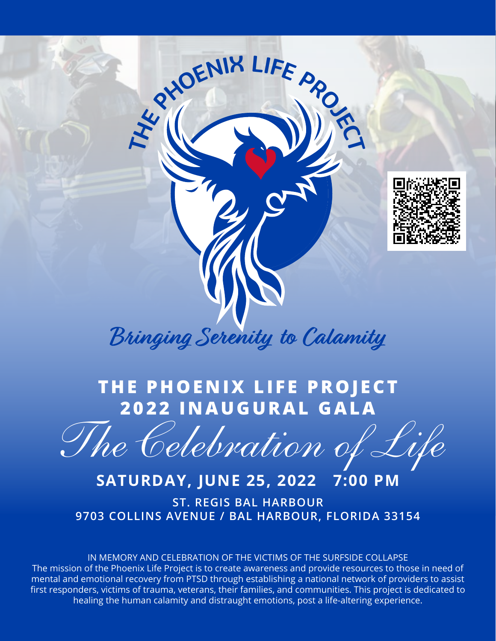

## **THE PHOENIX LIFE PROJECT 2022 INAUGURAL GALA**

 *The Celebration of Life*

### **SATURDAY, JUNE 25, 2022 7:00 PM**

**ST. REGIS BAL HARBOUR 9703 COLLINS AVENUE / BAL HARBOUR, FLORIDA 33154**

IN MEMORY AND CELEBRATION OF THE VICTIMS OF THE SURFSIDE COLLAPSE The mission of the Phoenix Life Project is to create awareness and provide resources to those in need of mental and emotional recovery from PTSD through establishing a national network of providers to assist first responders, victims of trauma, veterans, their families, and communities. This project is dedicated to healing the human calamity and distraught emotions, post a life-altering experience.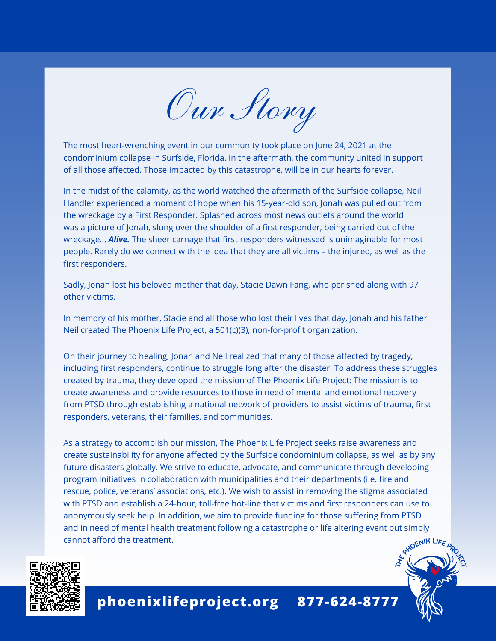*Our Story*

The most heart-wrenching event in our community took place on June 24, 2021 at the condominium collapse in Surfside, Florida. In the aftermath, the community united in support of all those affected. Those impacted by this catastrophe, will be in our hearts forever.

In the midst of the calamity, as the world watched the aftermath of the Surfside collapse, Neil Handler experienced a moment of hope when his 15-year-old son, Jonah was pulled out from the wreckage by a First Responder. Splashed across most news outlets around the world was a picture of Jonah, slung over the shoulder of a first responder, being carried out of the wreckage… *Alive.* The sheer carnage that first responders witnessed is unimaginable for most people. Rarely do we connect with the idea that they are all victims – the injured, as well as the first responders.

Sadly, Jonah lost his beloved mother that day, Stacie Dawn Fang, who perished along with 97 other victims.

In memory of his mother, Stacie and all those who lost their lives that day, Jonah and his father Neil created The Phoenix Life Project, a 501(c)(3), non-for-profit organization.

On their journey to healing, Jonah and Neil realized that many of those affected by tragedy, including first responders, continue to struggle long after the disaster. To address these struggles created by trauma, they developed the mission of The Phoenix Life Project: The mission is to create awareness and provide resources to those in need of mental and emotional recovery from PTSD through establishing a national network of providers to assist victims of trauma, first responders, veterans, their families, and communities.

As a strategy to accomplish our mission, The Phoenix Life Project seeks raise awareness and create sustainability for anyone affected by the Surfside condominium collapse, as well as by any future disasters globally. We strive to educate, advocate, and communicate through developing program initiatives in collaboration with municipalities and their departments (i.e. fire and rescue, police, veterans' associations, etc.). We wish to assist in removing the stigma associated with PTSD and establish a 24-hour, toll-free hot-line that victims and first responders can use to anonymously seek help. In addition, we aim to provide funding for those suffering from PTSD and in need of mental health treatment following a catastrophe or life altering event but simply cannot afford the treatment.



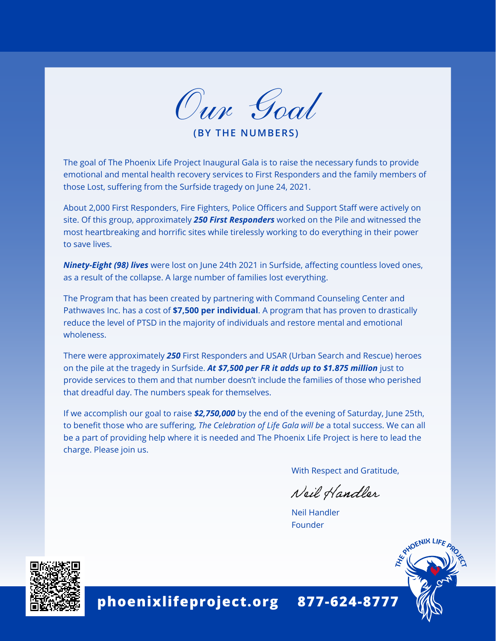

**(BY THE NUMBERS)**

The goal of The Phoenix Life Project Inaugural Gala is to raise the necessary funds to provide emotional and mental health recovery services to First Responders and the family members of those Lost, suffering from the Surfside tragedy on June 24, 2021.

About 2,000 First Responders, Fire Fighters, Police Officers and Support Staff were actively on site. Of this group, approximately *250 First Responders* worked on the Pile and witnessed the most heartbreaking and horrific sites while tirelessly working to do everything in their power to save lives.

*Ninety-Eight (98) lives* were lost on June 24th 2021 in Surfside, affecting countless loved ones, as a result of the collapse. A large number of families lost everything.

The Program that has been created by partnering with Command Counseling Center and Pathwaves Inc. has a cost of **\$7,500 per individual**. A program that has proven to drastically reduce the level of PTSD in the majority of individuals and restore mental and emotional wholeness.

There were approximately *250* First Responders and USAR (Urban Search and Rescue) heroes on the pile at the tragedy in Surfside. *At \$7,500 per FR it adds up to \$1.875 million* just to provide services to them and that number doesn't include the families of those who perished that dreadful day. The numbers speak for themselves.

If we accomplish our goal to raise *\$2,750,000* by the end of the evening of Saturday, June 25th, to benefit those who are suffering, *The Celebration of Life Gala will be* a total success. We can all be a part of providing help where it is needed and The Phoenix Life Project is here to lead the charge. Please join us.

With Respect and Gratitude,

Neil Handler

Neil Handler Founder



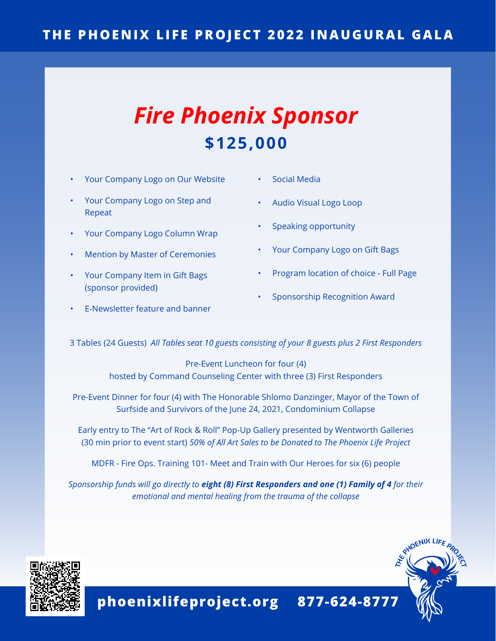### **THE PHOENIX LIFE PROJECT 2022 INAUGURAL GALA**

## *Fire Phoenix Sponsor* **\$125,000**

- Your Company Logo on Our Website
- Your Company Logo on Step and Repeat
- Your Company Logo Column Wrap
- Mention by Master of Ceremonies
- Your Company Item in Gift Bags (sponsor provided)
- E-Newsletter feature and banner
- Social Media
- Audio Visual Logo Loop
- Speaking opportunity
- Your Company Logo on Gift Bags
- Program location of choice Full Page
- Sponsorship Recognition Award

3 Tables (24 Guests) *All Tables seat 10 guests consisting of your 8 guests plus 2 First Responders*

Pre-Event Luncheon for four (4) hosted by Command Counseling Center with three (3) First Responders

Pre-Event Dinner for four (4) with The Honorable Shlomo Danzinger, Mayor of the Town of Surfside and Survivors of the June 24, 2021, Condominium Collapse

Early entry to The "Art of Rock & Roll" Pop-Up Gallery presented by Wentworth Galleries (30 min prior to event start) *50% of All Art Sales to be Donated to The Phoenix Life Project*

MDFR - Fire Ops. Training 101- Meet and Train with Our Heroes for six (6) people

*Sponsorship funds will go directly to eight (8) First Responders and one (1) Family of 4 for their emotional and mental healing from the trauma of the collapse*



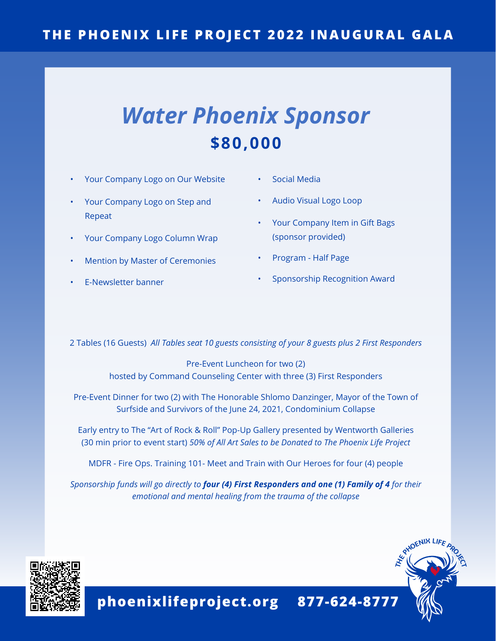### **THE PHOENIX LIFE PROJECT 2022 INAUGURAL GALA**

# *Water Phoenix Sponsor* **\$80,000**

- Your Company Logo on Our Website
- Your Company Logo on Step and Repeat
- Your Company Logo Column Wrap
- Mention by Master of Ceremonies
- E-Newsletter banner
- Social Media
- Audio Visual Logo Loop
- Your Company Item in Gift Bags (sponsor provided)
- Program Half Page
- Sponsorship Recognition Award

2 Tables (16 Guests) *All Tables seat 10 guests consisting of your 8 guests plus 2 First Responders*

Pre-Event Luncheon for two (2) hosted by Command Counseling Center with three (3) First Responders

Pre-Event Dinner for two (2) with The Honorable Shlomo Danzinger, Mayor of the Town of Surfside and Survivors of the June 24, 2021, Condominium Collapse

Early entry to The "Art of Rock & Roll" Pop-Up Gallery presented by Wentworth Galleries (30 min prior to event start) *50% of All Art Sales to be Donated to The Phoenix Life Project*

MDFR - Fire Ops. Training 101- Meet and Train with Our Heroes for four (4) people

*Sponsorship funds will go directly to four (4) First Responders and one (1) Family of 4 for their emotional and mental healing from the trauma of the collapse*



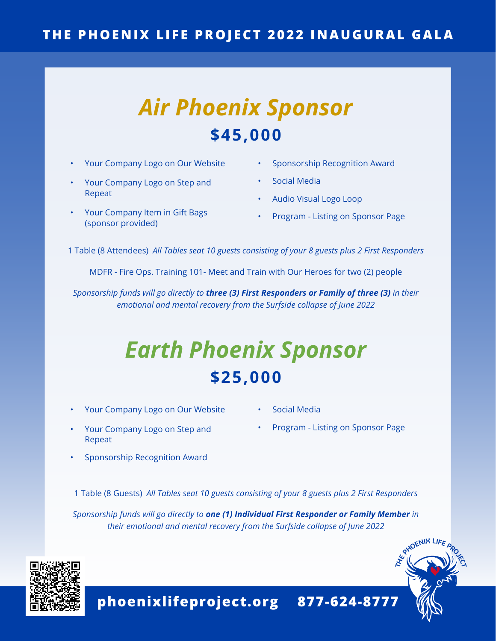### **THE PHOENIX LIFE PROJECT 2022 INAUGURAL GALA**

# *Air Phoenix Sponsor* **\$45,000**

- Your Company Logo on Our Website
- Your Company Logo on Step and Repeat
- Your Company Item in Gift Bags (sponsor provided)
- Sponsorship Recognition Award
- Social Media
- Audio Visual Logo Loop
- Program Listing on Sponsor Page

1 Table (8 Attendees) *All Tables seat 10 guests consisting of your 8 guests plus 2 First Responders*

MDFR - Fire Ops. Training 101- Meet and Train with Our Heroes for two (2) people

*Sponsorship funds will go directly to three (3) First Responders or Family of three (3) in their emotional and mental recovery from the Surfside collapse of June 2022*

# *Earth Phoenix Sponsor* **\$25,000**

- Your Company Logo on Our Website
- Social Media
- Your Company Logo on Step and Repeat
- Program Listing on Sponsor Page

RHOENIX LIFE

• Sponsorship Recognition Award

1 Table (8 Guests) *All Tables seat 10 guests consisting of your 8 guests plus 2 First Responders*

*Sponsorship funds will go directly to one (1) Individual First Responder or Family Member in their emotional and mental recovery from the Surfside collapse of June 2022*



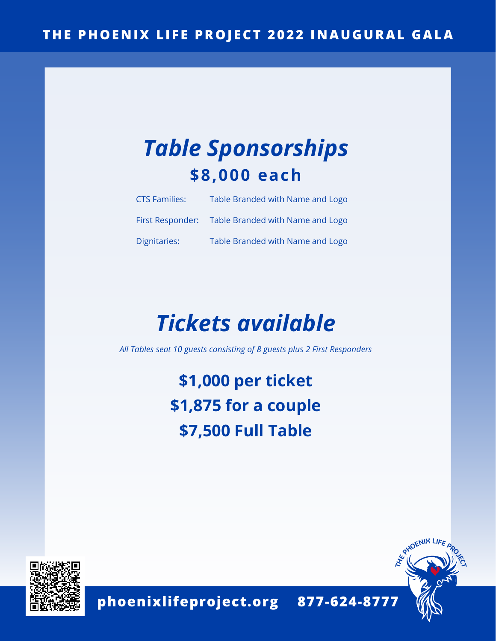# *Table Sponsorships* **\$8,000 each**

| <b>CTS Families:</b> | Table Branded with Name and Logo                  |
|----------------------|---------------------------------------------------|
|                      | First Responder: Table Branded with Name and Logo |
| Dignitaries:         | Table Branded with Name and Logo                  |

# *Tickets available*

*All Tables seat 10 guests consisting of 8 guests plus 2 First Responders*

**\$1,000 per ticket \$1,875 for a couple \$7,500 Full Table**



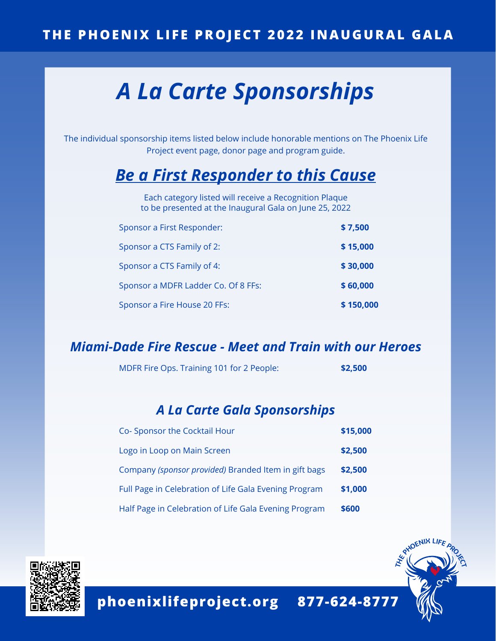# *A La Carte Sponsorships*

The individual sponsorship items listed below include honorable mentions on The Phoenix Life Project event page, donor page and program guide.

### *Be a First Responder to this Cause*

Each category listed will receive a Recognition Plaque to be presented at the Inaugural Gala on June 25, 2022

| Sponsor a First Responder:          | \$7,500   |
|-------------------------------------|-----------|
| Sponsor a CTS Family of 2:          | \$15,000  |
| Sponsor a CTS Family of 4:          | \$30,000  |
| Sponsor a MDFR Ladder Co. Of 8 FFs: | \$60,000  |
| Sponsor a Fire House 20 FFs:        | \$150,000 |

#### *Miami-Dade Fire Rescue - Meet and Train with our Heroes*

MDFR Fire Ops. Training 101 for 2 People: **\$2,500**

#### *A La Carte Gala Sponsorships*

| Co- Sponsor the Cocktail Hour                         | \$15,000 |
|-------------------------------------------------------|----------|
| Logo in Loop on Main Screen                           | \$2,500  |
| Company (sponsor provided) Branded Item in gift bags  | \$2,500  |
| Full Page in Celebration of Life Gala Evening Program | \$1,000  |
| Half Page in Celebration of Life Gala Evening Program | \$600    |



**phoenixlifeproject.org 877-624-8777**

OENIX LII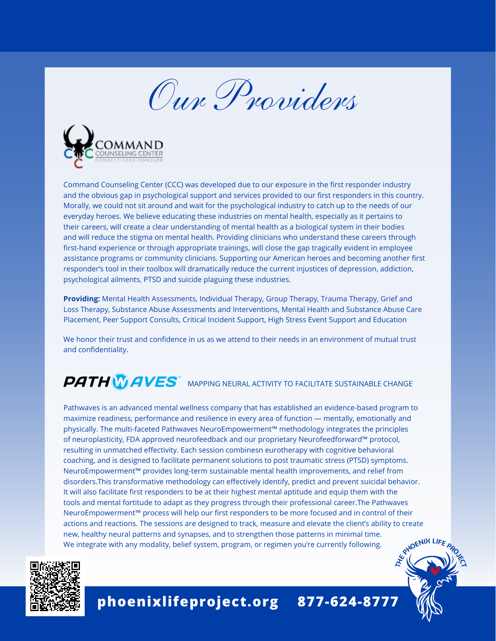*Our Providers*



Command Counseling Center (CCC) was developed due to our exposure in the first responder industry and the obvious gap in psychological support and services provided to our first responders in this country. Morally, we could not sit around and wait for the psychological industry to catch up to the needs of our everyday heroes. We believe educating these industries on mental health, especially as it pertains to their careers, will create a clear understanding of mental health as a biological system in their bodies and will reduce the stigma on mental health. Providing clinicians who understand these careers through first-hand experience or through appropriate trainings, will close the gap tragically evident in employee assistance programs or community clinicians. Supporting our American heroes and becoming another first responder's tool in their toolbox will dramatically reduce the current injustices of depression, addiction, psychological ailments, PTSD and suicide plaguing these industries.

**Providing:** Mental Health Assessments, Individual Therapy, Group Therapy, Trauma Therapy, Grief and Loss Therapy, Substance Abuse Assessments and Interventions, Mental Health and Substance Abuse Care Placement, Peer Support Consults, Critical Incident Support, High Stress Event Support and Education

We honor their trust and confidence in us as we attend to their needs in an environment of mutual trust and confidentiality.

## $\tilde{\mathbb{Z}}$  MAPPING NEURAL ACTIVITY TO FACILITATE SUSTAINABLE CHANGE

Pathwaves is an advanced mental wellness company that has established an evidence-based program to maximize readiness, performance and resilience in every area of function — mentally, emotionally and physically. The multi-faceted Pathwaves NeuroEmpowerment™ methodology integrates the principles of neuroplasticity, FDA approved neurofeedback and our proprietary Neurofeedforward™ protocol, resulting in unmatched effectivity. Each session combinesn eurotherapy with cognitive behavioral coaching, and is designed to facilitate permanent solutions to post traumatic stress (PTSD) symptoms. NeuroEmpowerment™ provides long-term sustainable mental health improvements, and relief from disorders.This transformative methodology can effectively identify, predict and prevent suicidal behavior. It will also facilitate first responders to be at their highest mental aptitude and equip them with the tools and mental fortitude to adapt as they progress through their professional career.The Pathwaves NeuroEmpowerment™ process will help our first responders to be more focused and in control of their actions and reactions. The sessions are designed to track, measure and elevate the client's ability to create new, healthy neural patterns and synapses, and to strengthen those patterns in minimal time. We integrate with any modality, belief system, program, or regimen you're currently following.



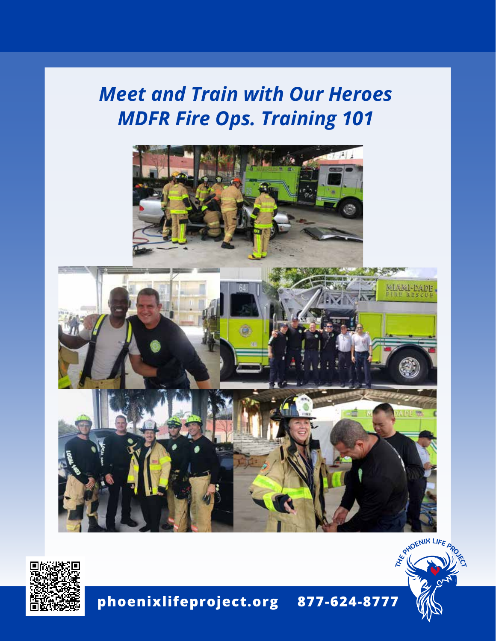## *Meet and Train with Our Heroes MDFR Fire Ops. Training 101*